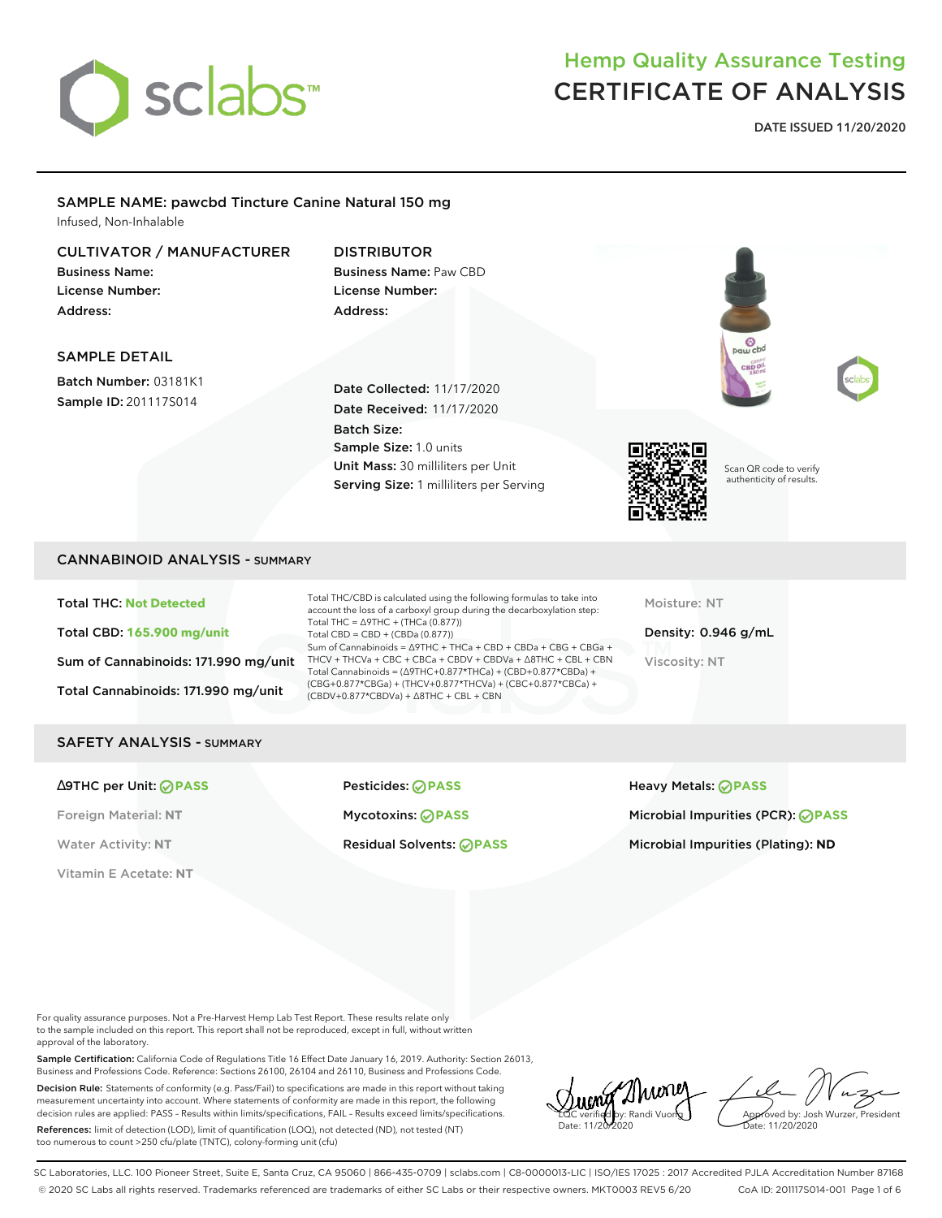

**DATE ISSUED 11/20/2020**

### SAMPLE NAME: pawcbd Tincture Canine Natural 150 mg Infused, Non-Inhalable

### CULTIVATOR / MANUFACTURER

Business Name: License Number: Address:

### DISTRIBUTOR Business Name: Paw CBD License Number: Address:

### SAMPLE DETAIL

Batch Number: 03181K1 Sample ID: 201117S014

Date Collected: 11/17/2020 Date Received: 11/17/2020 Batch Size: Sample Size: 1.0 units Unit Mass: 30 milliliters per Unit Serving Size: 1 milliliters per Serving



Scan QR code to verify authenticity of results.

### CANNABINOID ANALYSIS - SUMMARY

Total THC: **Not Detected** Total CBD: **165.900 mg/unit** Sum of Cannabinoids: 171.990 mg/unit Total Cannabinoids: 171.990 mg/unit

Total THC/CBD is calculated using the following formulas to take into account the loss of a carboxyl group during the decarboxylation step: Total THC = ∆9THC + (THCa (0.877)) Total CBD = CBD + (CBDa (0.877)) Sum of Cannabinoids = ∆9THC + THCa + CBD + CBDa + CBG + CBGa + THCV + THCVa + CBC + CBCa + CBDV + CBDVa + ∆8THC + CBL + CBN Total Cannabinoids = (∆9THC+0.877\*THCa) + (CBD+0.877\*CBDa) + (CBG+0.877\*CBGa) + (THCV+0.877\*THCVa) + (CBC+0.877\*CBCa) + (CBDV+0.877\*CBDVa) + ∆8THC + CBL + CBN

Moisture: NT

Density: 0.946 g/mL Viscosity: NT

#### SAFETY ANALYSIS - SUMMARY

Vitamin E Acetate: **NT**

∆9THC per Unit: **PASS** Pesticides: **PASS** Heavy Metals: **PASS**

Foreign Material: **NT** Mycotoxins: **PASS** Microbial Impurities (PCR): **PASS**

Water Activity: NT **Residual Solvents: <b>PASS** Microbial Impurities (Plating): ND

For quality assurance purposes. Not a Pre-Harvest Hemp Lab Test Report. These results relate only to the sample included on this report. This report shall not be reproduced, except in full, without written approval of the laboratory.

Sample Certification: California Code of Regulations Title 16 Effect Date January 16, 2019. Authority: Section 26013, Business and Professions Code. Reference: Sections 26100, 26104 and 26110, Business and Professions Code.

Decision Rule: Statements of conformity (e.g. Pass/Fail) to specifications are made in this report without taking measurement uncertainty into account. Where statements of conformity are made in this report, the following decision rules are applied: PASS – Results within limits/specifications, FAIL – Results exceed limits/specifications.

References: limit of detection (LOD), limit of quantification (LOQ), not detected (ND), not tested (NT) too numerous to count >250 cfu/plate (TNTC), colony-forming unit (cfu)

2Nuonej LQC verified by: Randi Vuong Date: 11/20/2020

Approved by: Josh Wurzer, President ate: 11/20/2020

SC Laboratories, LLC. 100 Pioneer Street, Suite E, Santa Cruz, CA 95060 | 866-435-0709 | sclabs.com | C8-0000013-LIC | ISO/IES 17025 : 2017 Accredited PJLA Accreditation Number 87168 © 2020 SC Labs all rights reserved. Trademarks referenced are trademarks of either SC Labs or their respective owners. MKT0003 REV5 6/20 CoA ID: 201117S014-001 Page 1 of 6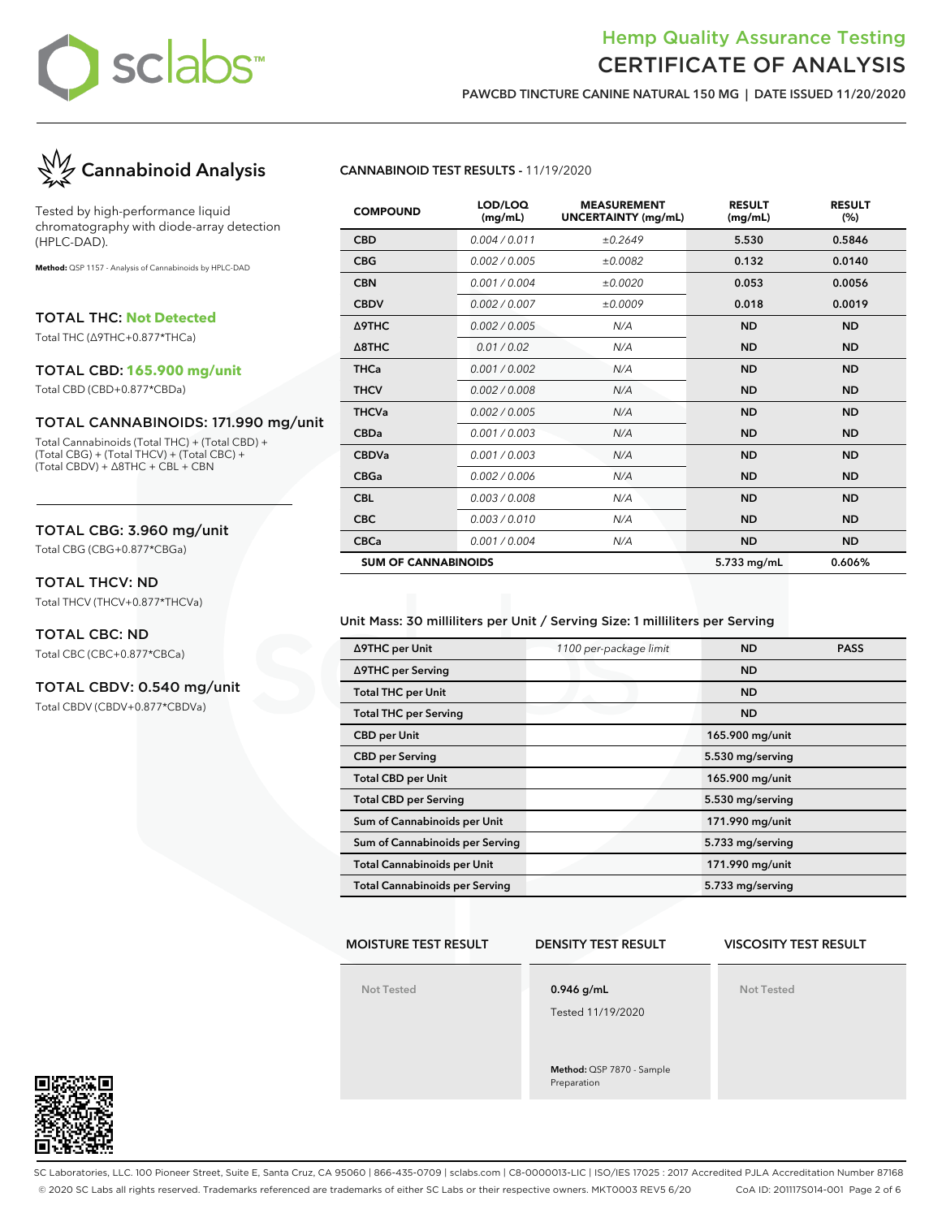

**PAWCBD TINCTURE CANINE NATURAL 150 MG | DATE ISSUED 11/20/2020**



Tested by high-performance liquid chromatography with diode-array detection (HPLC-DAD).

**Method:** QSP 1157 - Analysis of Cannabinoids by HPLC-DAD

TOTAL THC: **Not Detected**

Total THC (∆9THC+0.877\*THCa)

#### TOTAL CBD: **165.900 mg/unit**

Total CBD (CBD+0.877\*CBDa)

#### TOTAL CANNABINOIDS: 171.990 mg/unit

Total Cannabinoids (Total THC) + (Total CBD) + (Total CBG) + (Total THCV) + (Total CBC) + (Total CBDV) + ∆8THC + CBL + CBN

#### TOTAL CBG: 3.960 mg/unit

Total CBG (CBG+0.877\*CBGa)

### TOTAL THCV: ND

Total THCV (THCV+0.877\*THCVa)

### TOTAL CBC: ND

Total CBC (CBC+0.877\*CBCa)

### TOTAL CBDV: 0.540 mg/unit

Total CBDV (CBDV+0.877\*CBDVa)

### **CANNABINOID TEST RESULTS -** 11/19/2020

| <b>COMPOUND</b>            | LOD/LOQ<br>(mg/mL) | <b>MEASUREMENT</b><br><b>UNCERTAINTY (mg/mL)</b> | <b>RESULT</b><br>(mg/mL) | <b>RESULT</b><br>(%) |
|----------------------------|--------------------|--------------------------------------------------|--------------------------|----------------------|
| <b>CBD</b>                 | 0.004 / 0.011      | ±0.2649                                          | 5.530                    | 0.5846               |
| <b>CBG</b>                 | 0.002 / 0.005      | ±0.0082                                          | 0.132                    | 0.0140               |
| <b>CBN</b>                 | 0.001/0.004        | ±0.0020                                          | 0.053                    | 0.0056               |
| <b>CBDV</b>                | 0.002 / 0.007      | ±0.0009                                          | 0.018                    | 0.0019               |
| Δ9THC                      | 0.002 / 0.005      | N/A                                              | <b>ND</b>                | <b>ND</b>            |
| $\triangle$ 8THC           | 0.01 / 0.02        | N/A                                              | <b>ND</b>                | <b>ND</b>            |
| <b>THCa</b>                | 0.001 / 0.002      | N/A                                              | <b>ND</b>                | <b>ND</b>            |
| <b>THCV</b>                | 0.002 / 0.008      | N/A                                              | <b>ND</b>                | <b>ND</b>            |
| <b>THCVa</b>               | 0.002 / 0.005      | N/A                                              | <b>ND</b>                | <b>ND</b>            |
| <b>CBDa</b>                | 0.001 / 0.003      | N/A                                              | <b>ND</b>                | <b>ND</b>            |
| <b>CBDVa</b>               | 0.001 / 0.003      | N/A                                              | <b>ND</b>                | <b>ND</b>            |
| <b>CBGa</b>                | 0.002 / 0.006      | N/A                                              | <b>ND</b>                | <b>ND</b>            |
| <b>CBL</b>                 | 0.003 / 0.008      | N/A                                              | <b>ND</b>                | <b>ND</b>            |
| <b>CBC</b>                 | 0.003 / 0.010      | N/A                                              | <b>ND</b>                | <b>ND</b>            |
| <b>CBCa</b>                | 0.001/0.004        | N/A                                              | <b>ND</b>                | <b>ND</b>            |
| <b>SUM OF CANNABINOIDS</b> |                    |                                                  | 5.733 mg/mL              | 0.606%               |

#### Unit Mass: 30 milliliters per Unit / Serving Size: 1 milliliters per Serving

| ∆9THC per Unit                        | 1100 per-package limit | <b>ND</b>        | <b>PASS</b> |
|---------------------------------------|------------------------|------------------|-------------|
| ∆9THC per Serving                     |                        | <b>ND</b>        |             |
| <b>Total THC per Unit</b>             |                        | <b>ND</b>        |             |
| <b>Total THC per Serving</b>          |                        | <b>ND</b>        |             |
| <b>CBD</b> per Unit                   |                        | 165.900 mg/unit  |             |
| <b>CBD</b> per Serving                |                        | 5.530 mg/serving |             |
| <b>Total CBD per Unit</b>             |                        | 165.900 mg/unit  |             |
| <b>Total CBD per Serving</b>          |                        | 5.530 mg/serving |             |
| Sum of Cannabinoids per Unit          |                        | 171.990 mg/unit  |             |
| Sum of Cannabinoids per Serving       |                        | 5.733 mg/serving |             |
| <b>Total Cannabinoids per Unit</b>    |                        | 171.990 mg/unit  |             |
| <b>Total Cannabinoids per Serving</b> |                        | 5.733 mg/serving |             |

#### **MOISTURE TEST RESULT**

#### **DENSITY TEST RESULT**

### **VISCOSITY TEST RESULT**

**Not Tested**

# **0.946 g/mL**

Tested 11/19/2020

**Method:** QSP 7870 - Sample Preparation

**Not Tested**



SC Laboratories, LLC. 100 Pioneer Street, Suite E, Santa Cruz, CA 95060 | 866-435-0709 | sclabs.com | C8-0000013-LIC | ISO/IES 17025 : 2017 Accredited PJLA Accreditation Number 87168 © 2020 SC Labs all rights reserved. Trademarks referenced are trademarks of either SC Labs or their respective owners. MKT0003 REV5 6/20 CoA ID: 201117S014-001 Page 2 of 6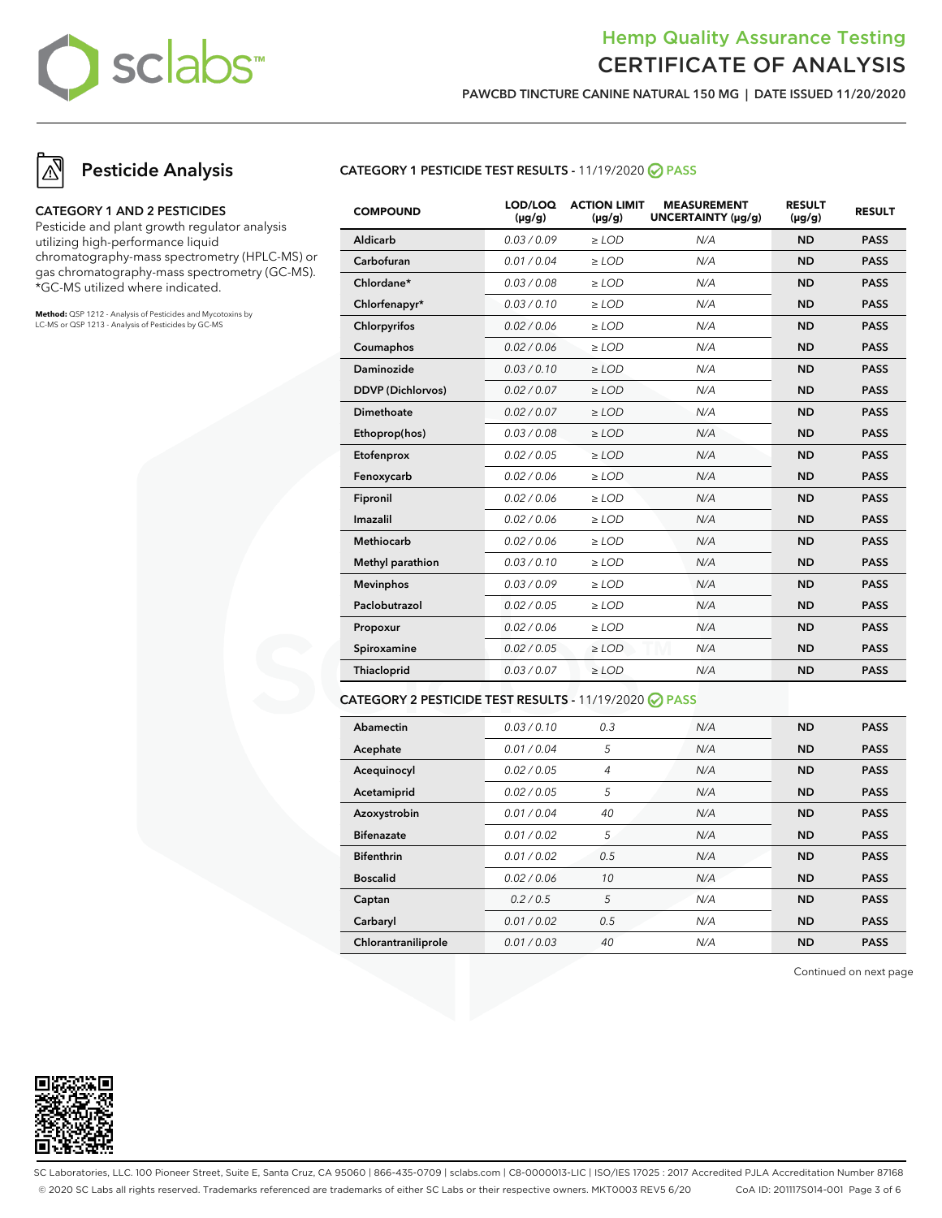

**PAWCBD TINCTURE CANINE NATURAL 150 MG | DATE ISSUED 11/20/2020**

# **Pesticide Analysis**

#### **CATEGORY 1 AND 2 PESTICIDES**

Pesticide and plant growth regulator analysis utilizing high-performance liquid chromatography-mass spectrometry (HPLC-MS) or gas chromatography-mass spectrometry (GC-MS). \*GC-MS utilized where indicated.

**Method:** QSP 1212 - Analysis of Pesticides and Mycotoxins by LC-MS or QSP 1213 - Analysis of Pesticides by GC-MS

### **CATEGORY 1 PESTICIDE TEST RESULTS -** 11/19/2020 **PASS**

| <b>COMPOUND</b>          | LOD/LOQ<br>$(\mu g/g)$ | <b>ACTION LIMIT</b><br>$(\mu q/q)$ | <b>MEASUREMENT</b><br>UNCERTAINTY (µq/q) | <b>RESULT</b><br>$(\mu g/g)$ | <b>RESULT</b> |
|--------------------------|------------------------|------------------------------------|------------------------------------------|------------------------------|---------------|
| Aldicarb                 | 0.03/0.09              | $>$ LOD                            | N/A                                      | <b>ND</b>                    | <b>PASS</b>   |
| Carbofuran               | 0.01 / 0.04            | $\ge$ LOD                          | N/A                                      | <b>ND</b>                    | <b>PASS</b>   |
| Chlordane*               | 0.03 / 0.08            | $\ge$ LOD                          | N/A                                      | <b>ND</b>                    | <b>PASS</b>   |
| Chlorfenapyr*            | 0.03/0.10              | $\ge$ LOD                          | N/A                                      | <b>ND</b>                    | <b>PASS</b>   |
| Chlorpyrifos             | 0.02 / 0.06            | $\ge$ LOD                          | N/A                                      | <b>ND</b>                    | <b>PASS</b>   |
| Coumaphos                | 0.02 / 0.06            | $>$ LOD                            | N/A                                      | <b>ND</b>                    | <b>PASS</b>   |
| Daminozide               | 0.03/0.10              | $>$ LOD                            | N/A                                      | <b>ND</b>                    | <b>PASS</b>   |
| <b>DDVP</b> (Dichlorvos) | 0.02 / 0.07            | $\ge$ LOD                          | N/A                                      | <b>ND</b>                    | <b>PASS</b>   |
| Dimethoate               | 0.02 / 0.07            | $\ge$ LOD                          | N/A                                      | <b>ND</b>                    | <b>PASS</b>   |
| Ethoprop(hos)            | 0.03 / 0.08            | $\ge$ LOD                          | N/A                                      | <b>ND</b>                    | <b>PASS</b>   |
| Etofenprox               | 0.02 / 0.05            | $\ge$ LOD                          | N/A                                      | <b>ND</b>                    | <b>PASS</b>   |
| Fenoxycarb               | 0.02 / 0.06            | $>$ LOD                            | N/A                                      | <b>ND</b>                    | <b>PASS</b>   |
| Fipronil                 | 0.02 / 0.06            | $\ge$ LOD                          | N/A                                      | <b>ND</b>                    | <b>PASS</b>   |
| Imazalil                 | 0.02 / 0.06            | $\ge$ LOD                          | N/A                                      | <b>ND</b>                    | <b>PASS</b>   |
| <b>Methiocarb</b>        | 0.02 / 0.06            | $\ge$ LOD                          | N/A                                      | <b>ND</b>                    | <b>PASS</b>   |
| Methyl parathion         | 0.03/0.10              | $\geq$ LOD                         | N/A                                      | <b>ND</b>                    | <b>PASS</b>   |
| <b>Mevinphos</b>         | 0.03/0.09              | $\ge$ LOD                          | N/A                                      | <b>ND</b>                    | <b>PASS</b>   |
| Paclobutrazol            | 0.02 / 0.05            | $>$ LOD                            | N/A                                      | <b>ND</b>                    | <b>PASS</b>   |
| Propoxur                 | 0.02 / 0.06            | $\ge$ LOD                          | N/A                                      | <b>ND</b>                    | <b>PASS</b>   |
| Spiroxamine              | 0.02 / 0.05            | $\ge$ LOD                          | N/A                                      | <b>ND</b>                    | <b>PASS</b>   |
| Thiacloprid              | 0.03 / 0.07            | $\ge$ LOD                          | N/A                                      | <b>ND</b>                    | <b>PASS</b>   |
|                          |                        |                                    |                                          |                              |               |

### **CATEGORY 2 PESTICIDE TEST RESULTS -** 11/19/2020 **PASS**

| Abamectin           | 0.03/0.10   | 0.3 | N/A | <b>ND</b> | <b>PASS</b> |
|---------------------|-------------|-----|-----|-----------|-------------|
| Acephate            | 0.01 / 0.04 | 5   | N/A | <b>ND</b> | <b>PASS</b> |
| Acequinocyl         | 0.02 / 0.05 | 4   | N/A | <b>ND</b> | <b>PASS</b> |
| Acetamiprid         | 0.02 / 0.05 | 5   | N/A | <b>ND</b> | <b>PASS</b> |
| Azoxystrobin        | 0.01/0.04   | 40  | N/A | <b>ND</b> | <b>PASS</b> |
| <b>Bifenazate</b>   | 0.01 / 0.02 | 5   | N/A | <b>ND</b> | <b>PASS</b> |
| <b>Bifenthrin</b>   | 0.01/0.02   | 0.5 | N/A | <b>ND</b> | <b>PASS</b> |
| <b>Boscalid</b>     | 0.02 / 0.06 | 10  | N/A | <b>ND</b> | <b>PASS</b> |
| Captan              | 0.2/0.5     | 5   | N/A | <b>ND</b> | <b>PASS</b> |
| Carbaryl            | 0.01 / 0.02 | 0.5 | N/A | <b>ND</b> | <b>PASS</b> |
| Chlorantraniliprole | 0.01 / 0.03 | 40  | N/A | <b>ND</b> | <b>PASS</b> |

Continued on next page



SC Laboratories, LLC. 100 Pioneer Street, Suite E, Santa Cruz, CA 95060 | 866-435-0709 | sclabs.com | C8-0000013-LIC | ISO/IES 17025 : 2017 Accredited PJLA Accreditation Number 87168 © 2020 SC Labs all rights reserved. Trademarks referenced are trademarks of either SC Labs or their respective owners. MKT0003 REV5 6/20 CoA ID: 201117S014-001 Page 3 of 6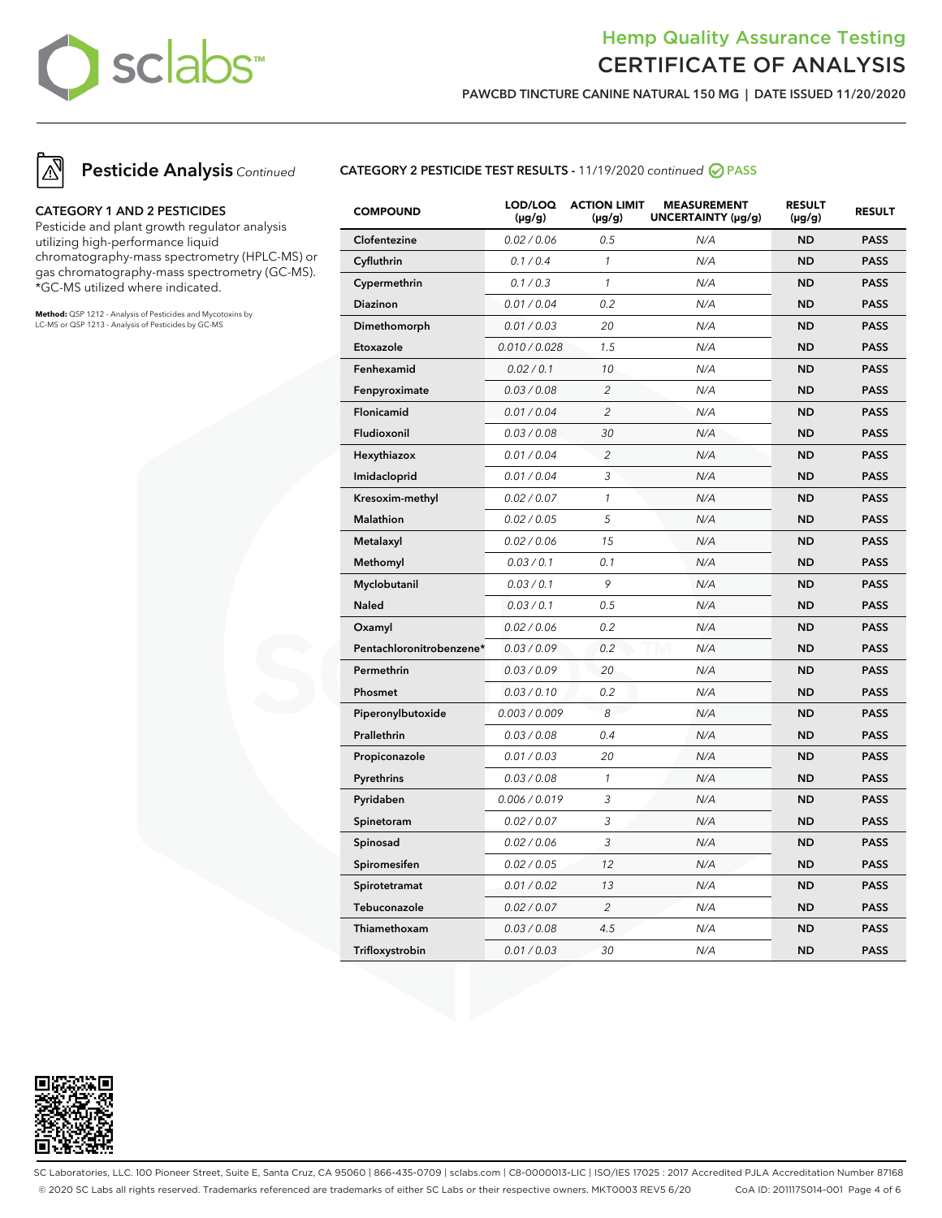

**PAWCBD TINCTURE CANINE NATURAL 150 MG | DATE ISSUED 11/20/2020**



### **CATEGORY 1 AND 2 PESTICIDES**

Pesticide and plant growth regulator analysis utilizing high-performance liquid chromatography-mass spectrometry (HPLC-MS) or gas chromatography-mass spectrometry (GC-MS). \*GC-MS utilized where indicated.

**Method:** QSP 1212 - Analysis of Pesticides and Mycotoxins by LC-MS or QSP 1213 - Analysis of Pesticides by GC-MS

### **CATEGORY 2 PESTICIDE TEST RESULTS -** 11/19/2020 continued **PASS**

| <b>COMPOUND</b>          | LOD/LOQ<br>$(\mu g/g)$ | <b>ACTION LIMIT</b><br>$(\mu g/g)$ | <b>MEASUREMENT</b><br>UNCERTAINTY (µg/g) | <b>RESULT</b><br>$(\mu g/g)$ | <b>RESULT</b> |
|--------------------------|------------------------|------------------------------------|------------------------------------------|------------------------------|---------------|
| Clofentezine             | 0.02 / 0.06            | 0.5                                | N/A                                      | <b>ND</b>                    | <b>PASS</b>   |
| Cyfluthrin               | 0.1 / 0.4              | $\mathcal{I}$                      | N/A                                      | <b>ND</b>                    | <b>PASS</b>   |
| Cypermethrin             | 0.1 / 0.3              | $\mathcal{I}$                      | N/A                                      | <b>ND</b>                    | <b>PASS</b>   |
| Diazinon                 | 0.01 / 0.04            | 0.2                                | N/A                                      | <b>ND</b>                    | <b>PASS</b>   |
| Dimethomorph             | 0.01 / 0.03            | 20                                 | N/A                                      | <b>ND</b>                    | <b>PASS</b>   |
| Etoxazole                | 0.010 / 0.028          | 1.5                                | N/A                                      | <b>ND</b>                    | <b>PASS</b>   |
| Fenhexamid               | 0.02 / 0.1             | 10                                 | N/A                                      | <b>ND</b>                    | <b>PASS</b>   |
| Fenpyroximate            | 0.03 / 0.08            | $\overline{c}$                     | N/A                                      | <b>ND</b>                    | <b>PASS</b>   |
| Flonicamid               | 0.01 / 0.04            | $\overline{c}$                     | N/A                                      | <b>ND</b>                    | <b>PASS</b>   |
| Fludioxonil              | 0.03 / 0.08            | 30                                 | N/A                                      | <b>ND</b>                    | <b>PASS</b>   |
| Hexythiazox              | 0.01 / 0.04            | $\overline{c}$                     | N/A                                      | <b>ND</b>                    | <b>PASS</b>   |
| Imidacloprid             | 0.01 / 0.04            | 3                                  | N/A                                      | <b>ND</b>                    | <b>PASS</b>   |
| Kresoxim-methyl          | 0.02 / 0.07            | $\mathcal{I}$                      | N/A                                      | <b>ND</b>                    | <b>PASS</b>   |
| Malathion                | 0.02 / 0.05            | 5                                  | N/A                                      | <b>ND</b>                    | <b>PASS</b>   |
| Metalaxyl                | 0.02 / 0.06            | 15                                 | N/A                                      | <b>ND</b>                    | <b>PASS</b>   |
| Methomyl                 | 0.03 / 0.1             | 0.1                                | N/A                                      | <b>ND</b>                    | <b>PASS</b>   |
| Myclobutanil             | 0.03 / 0.1             | 9                                  | N/A                                      | <b>ND</b>                    | <b>PASS</b>   |
| <b>Naled</b>             | 0.03 / 0.1             | 0.5                                | N/A                                      | <b>ND</b>                    | <b>PASS</b>   |
| Oxamyl                   | 0.02 / 0.06            | 0.2                                | N/A                                      | <b>ND</b>                    | <b>PASS</b>   |
| Pentachloronitrobenzene* | 0.03 / 0.09            | 0.2                                | N/A                                      | <b>ND</b>                    | <b>PASS</b>   |
| Permethrin               | 0.03 / 0.09            | 20                                 | N/A                                      | <b>ND</b>                    | <b>PASS</b>   |
| Phosmet                  | 0.03 / 0.10            | 0.2                                | N/A                                      | <b>ND</b>                    | <b>PASS</b>   |
| Piperonylbutoxide        | 0.003 / 0.009          | 8                                  | N/A                                      | <b>ND</b>                    | <b>PASS</b>   |
| Prallethrin              | 0.03 / 0.08            | 0.4                                | N/A                                      | <b>ND</b>                    | <b>PASS</b>   |
| Propiconazole            | 0.01 / 0.03            | 20                                 | N/A                                      | <b>ND</b>                    | <b>PASS</b>   |
| Pyrethrins               | 0.03 / 0.08            | $\mathcal{I}$                      | N/A                                      | <b>ND</b>                    | <b>PASS</b>   |
| Pyridaben                | 0.006 / 0.019          | 3                                  | N/A                                      | <b>ND</b>                    | <b>PASS</b>   |
| Spinetoram               | 0.02 / 0.07            | 3                                  | N/A                                      | <b>ND</b>                    | <b>PASS</b>   |
| Spinosad                 | 0.02 / 0.06            | 3                                  | N/A                                      | <b>ND</b>                    | <b>PASS</b>   |
| Spiromesifen             | 0.02 / 0.05            | 12                                 | N/A                                      | <b>ND</b>                    | <b>PASS</b>   |
| Spirotetramat            | 0.01 / 0.02            | 13                                 | N/A                                      | <b>ND</b>                    | <b>PASS</b>   |
| Tebuconazole             | 0.02 / 0.07            | $\overline{c}$                     | N/A                                      | <b>ND</b>                    | <b>PASS</b>   |
| Thiamethoxam             | 0.03 / 0.08            | 4.5                                | N/A                                      | <b>ND</b>                    | <b>PASS</b>   |
| Trifloxystrobin          | 0.01 / 0.03            | 30                                 | N/A                                      | <b>ND</b>                    | <b>PASS</b>   |



SC Laboratories, LLC. 100 Pioneer Street, Suite E, Santa Cruz, CA 95060 | 866-435-0709 | sclabs.com | C8-0000013-LIC | ISO/IES 17025 : 2017 Accredited PJLA Accreditation Number 87168 © 2020 SC Labs all rights reserved. Trademarks referenced are trademarks of either SC Labs or their respective owners. MKT0003 REV5 6/20 CoA ID: 201117S014-001 Page 4 of 6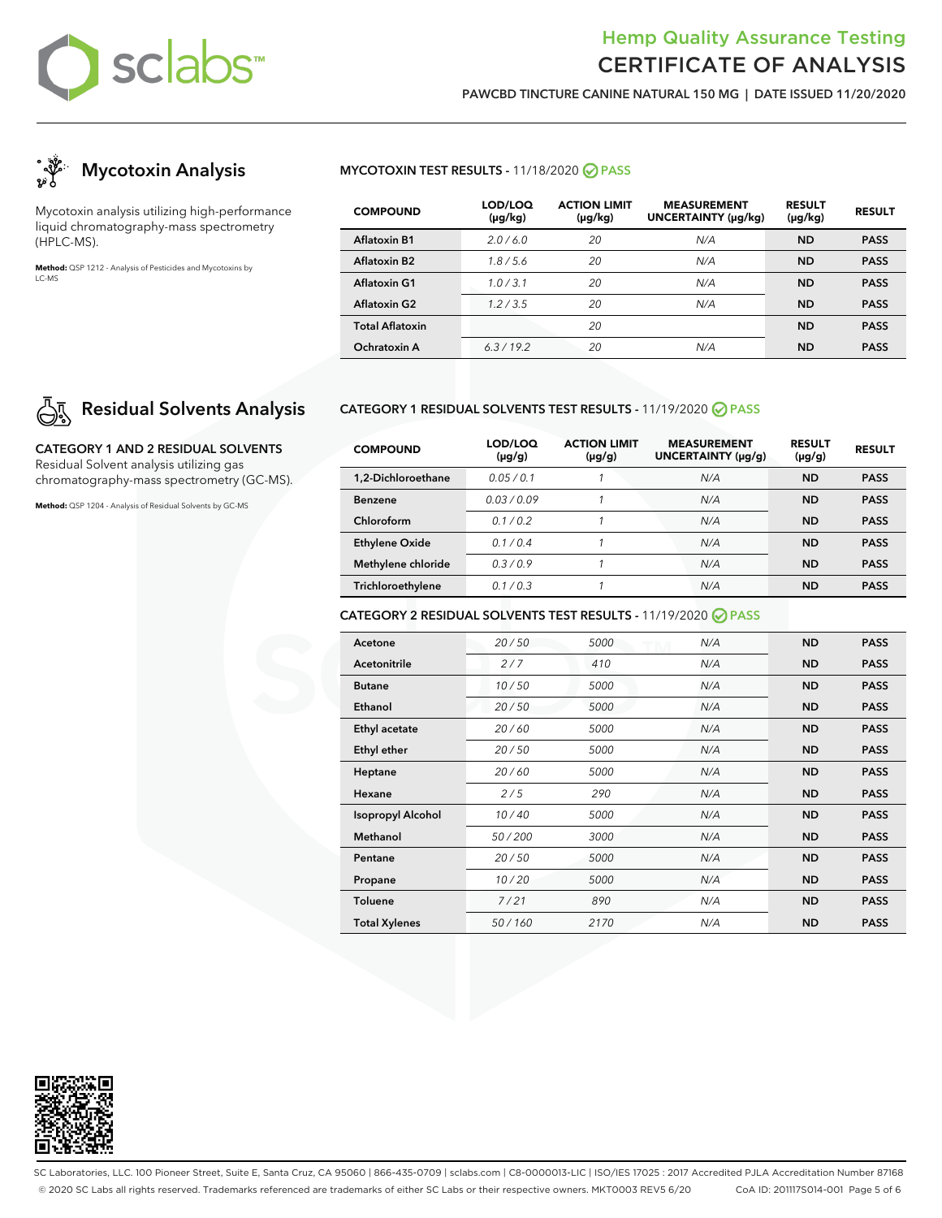

**PAWCBD TINCTURE CANINE NATURAL 150 MG | DATE ISSUED 11/20/2020**



Mycotoxin analysis utilizing high-performance liquid chromatography-mass spectrometry (HPLC-MS).

**Method:** QSP 1212 - Analysis of Pesticides and Mycotoxins by LC-MS

# **Residual Solvents Analysis**

**CATEGORY 1 AND 2 RESIDUAL SOLVENTS** Residual Solvent analysis utilizing gas chromatography-mass spectrometry (GC-MS).

**Method:** QSP 1204 - Analysis of Residual Solvents by GC-MS

### **MYCOTOXIN TEST RESULTS -** 11/18/2020 **PASS**

| <b>COMPOUND</b>          | LOD/LOQ<br>$(\mu g/kg)$ | <b>ACTION LIMIT</b><br>$(\mu g/kg)$ | <b>MEASUREMENT</b><br><b>UNCERTAINTY (µg/kg)</b> | <b>RESULT</b><br>$(\mu g/kg)$ | <b>RESULT</b> |
|--------------------------|-------------------------|-------------------------------------|--------------------------------------------------|-------------------------------|---------------|
| <b>Aflatoxin B1</b>      | 2.0/6.0                 | 20                                  | N/A                                              | <b>ND</b>                     | <b>PASS</b>   |
| Aflatoxin B <sub>2</sub> | 1.8/5.6                 | 20                                  | N/A                                              | <b>ND</b>                     | <b>PASS</b>   |
| <b>Aflatoxin G1</b>      | 1.0/3.1                 | 20                                  | N/A                                              | <b>ND</b>                     | <b>PASS</b>   |
| <b>Aflatoxin G2</b>      | 1.2/3.5                 | 20                                  | N/A                                              | ND                            | <b>PASS</b>   |
| <b>Total Aflatoxin</b>   |                         | 20                                  |                                                  | <b>ND</b>                     | <b>PASS</b>   |
| Ochratoxin A             | 6.3/19.2                | 20                                  | N/A                                              | <b>ND</b>                     | <b>PASS</b>   |

### **CATEGORY 1 RESIDUAL SOLVENTS TEST RESULTS -** 11/19/2020 **PASS**

| <b>COMPOUND</b>       | LOD/LOQ<br>$(\mu g/g)$ | <b>ACTION LIMIT</b><br>$(\mu g/g)$ | <b>MEASUREMENT</b><br>UNCERTAINTY (µq/q) | <b>RESULT</b><br>$(\mu g/g)$ | <b>RESULT</b> |
|-----------------------|------------------------|------------------------------------|------------------------------------------|------------------------------|---------------|
| 1.2-Dichloroethane    | 0.05/0.1               |                                    | N/A                                      | <b>ND</b>                    | <b>PASS</b>   |
| <b>Benzene</b>        | 0.03/0.09              |                                    | N/A                                      | <b>ND</b>                    | <b>PASS</b>   |
| Chloroform            | 01/02                  |                                    | N/A                                      | <b>ND</b>                    | <b>PASS</b>   |
| <b>Ethylene Oxide</b> | 0.1/0.4                |                                    | N/A                                      | <b>ND</b>                    | <b>PASS</b>   |
| Methylene chloride    | 0.3/0.9                |                                    | N/A                                      | <b>ND</b>                    | <b>PASS</b>   |
| Trichloroethylene     | 0.1/0.3                |                                    | N/A                                      | <b>ND</b>                    | <b>PASS</b>   |

### **CATEGORY 2 RESIDUAL SOLVENTS TEST RESULTS -** 11/19/2020 **PASS**

| Acetone                  | 20/50  | 5000 | N/A | <b>ND</b> | <b>PASS</b> |
|--------------------------|--------|------|-----|-----------|-------------|
| Acetonitrile             | 2/7    | 410  | N/A | <b>ND</b> | <b>PASS</b> |
| <b>Butane</b>            | 10/50  | 5000 | N/A | <b>ND</b> | <b>PASS</b> |
| Ethanol                  | 20/50  | 5000 | N/A | <b>ND</b> | <b>PASS</b> |
| Ethyl acetate            | 20/60  | 5000 | N/A | <b>ND</b> | <b>PASS</b> |
| Ethyl ether              | 20/50  | 5000 | N/A | <b>ND</b> | <b>PASS</b> |
| Heptane                  | 20/60  | 5000 | N/A | <b>ND</b> | <b>PASS</b> |
| Hexane                   | 2/5    | 290  | N/A | <b>ND</b> | <b>PASS</b> |
| <b>Isopropyl Alcohol</b> | 10/40  | 5000 | N/A | <b>ND</b> | <b>PASS</b> |
| Methanol                 | 50/200 | 3000 | N/A | <b>ND</b> | <b>PASS</b> |
| Pentane                  | 20/50  | 5000 | N/A | <b>ND</b> | <b>PASS</b> |
| Propane                  | 10/20  | 5000 | N/A | <b>ND</b> | <b>PASS</b> |
| <b>Toluene</b>           | 7/21   | 890  | N/A | <b>ND</b> | <b>PASS</b> |
| <b>Total Xylenes</b>     | 50/160 | 2170 | N/A | <b>ND</b> | <b>PASS</b> |



SC Laboratories, LLC. 100 Pioneer Street, Suite E, Santa Cruz, CA 95060 | 866-435-0709 | sclabs.com | C8-0000013-LIC | ISO/IES 17025 : 2017 Accredited PJLA Accreditation Number 87168 © 2020 SC Labs all rights reserved. Trademarks referenced are trademarks of either SC Labs or their respective owners. MKT0003 REV5 6/20 CoA ID: 201117S014-001 Page 5 of 6